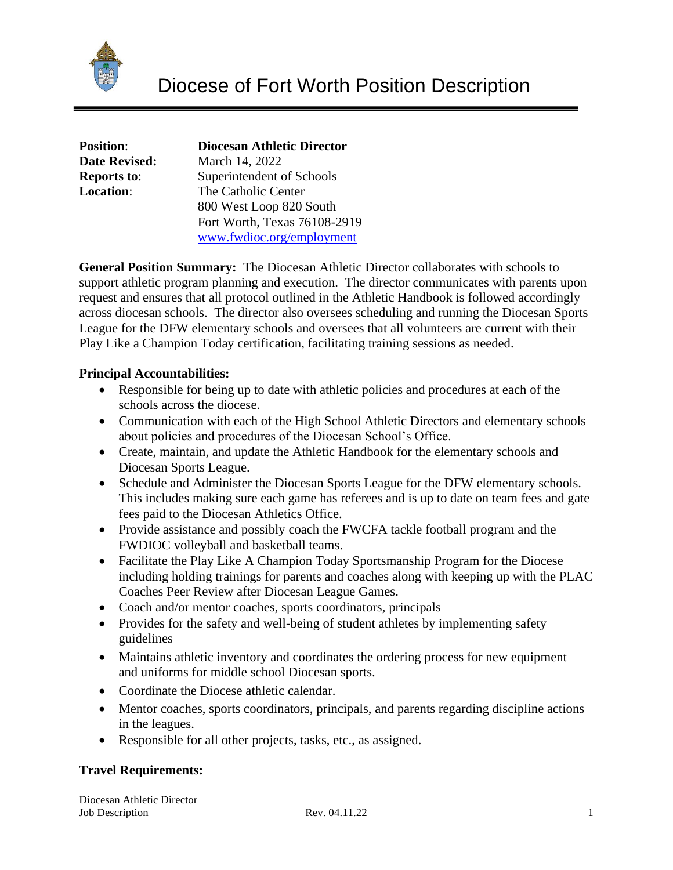

| <b>Position:</b>     | <b>Diocesan Athletic Director</b> |
|----------------------|-----------------------------------|
| <b>Date Revised:</b> | March 14, 2022                    |
| <b>Reports to:</b>   | Superintendent of Schools         |
| <b>Location:</b>     | The Catholic Center               |
|                      | 800 West Loop 820 South           |
|                      | Fort Worth, Texas 76108-2919      |
|                      | www.fwdioc.org/employment         |

**General Position Summary:** The Diocesan Athletic Director collaborates with schools to support athletic program planning and execution. The director communicates with parents upon request and ensures that all protocol outlined in the Athletic Handbook is followed accordingly across diocesan schools. The director also oversees scheduling and running the Diocesan Sports League for the DFW elementary schools and oversees that all volunteers are current with their Play Like a Champion Today certification, facilitating training sessions as needed.

## **Principal Accountabilities:**

- Responsible for being up to date with athletic policies and procedures at each of the schools across the diocese.
- Communication with each of the High School Athletic Directors and elementary schools about policies and procedures of the Diocesan School's Office.
- Create, maintain, and update the Athletic Handbook for the elementary schools and Diocesan Sports League.
- Schedule and Administer the Diocesan Sports League for the DFW elementary schools. This includes making sure each game has referees and is up to date on team fees and gate fees paid to the Diocesan Athletics Office.
- Provide assistance and possibly coach the FWCFA tackle football program and the FWDIOC volleyball and basketball teams.
- Facilitate the Play Like A Champion Today Sportsmanship Program for the Diocese including holding trainings for parents and coaches along with keeping up with the PLAC Coaches Peer Review after Diocesan League Games.
- Coach and/or mentor coaches, sports coordinators, principals
- Provides for the safety and well-being of student athletes by implementing safety guidelines
- Maintains athletic inventory and coordinates the ordering process for new equipment and uniforms for middle school Diocesan sports.
- Coordinate the Diocese athletic calendar.
- Mentor coaches, sports coordinators, principals, and parents regarding discipline actions in the leagues.
- Responsible for all other projects, tasks, etc., as assigned.

# **Travel Requirements:**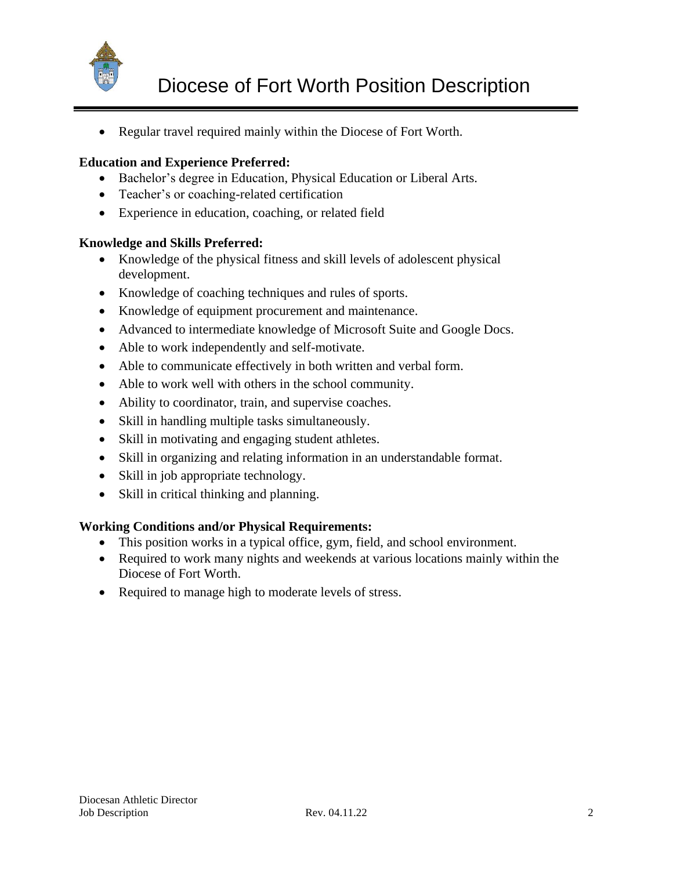

• Regular travel required mainly within the Diocese of Fort Worth.

## **Education and Experience Preferred:**

- Bachelor's degree in Education, Physical Education or Liberal Arts.
- Teacher's or coaching-related certification
- Experience in education, coaching, or related field

### **Knowledge and Skills Preferred:**

- Knowledge of the physical fitness and skill levels of adolescent physical development.
- Knowledge of coaching techniques and rules of sports.
- Knowledge of equipment procurement and maintenance.
- Advanced to intermediate knowledge of Microsoft Suite and Google Docs.
- Able to work independently and self-motivate.
- Able to communicate effectively in both written and verbal form.
- Able to work well with others in the school community.
- Ability to coordinator, train, and supervise coaches.
- Skill in handling multiple tasks simultaneously.
- Skill in motivating and engaging student athletes.
- Skill in organizing and relating information in an understandable format.
- Skill in job appropriate technology.
- Skill in critical thinking and planning.

### **Working Conditions and/or Physical Requirements:**

- This position works in a typical office, gym, field, and school environment.
- Required to work many nights and weekends at various locations mainly within the Diocese of Fort Worth.
- Required to manage high to moderate levels of stress.